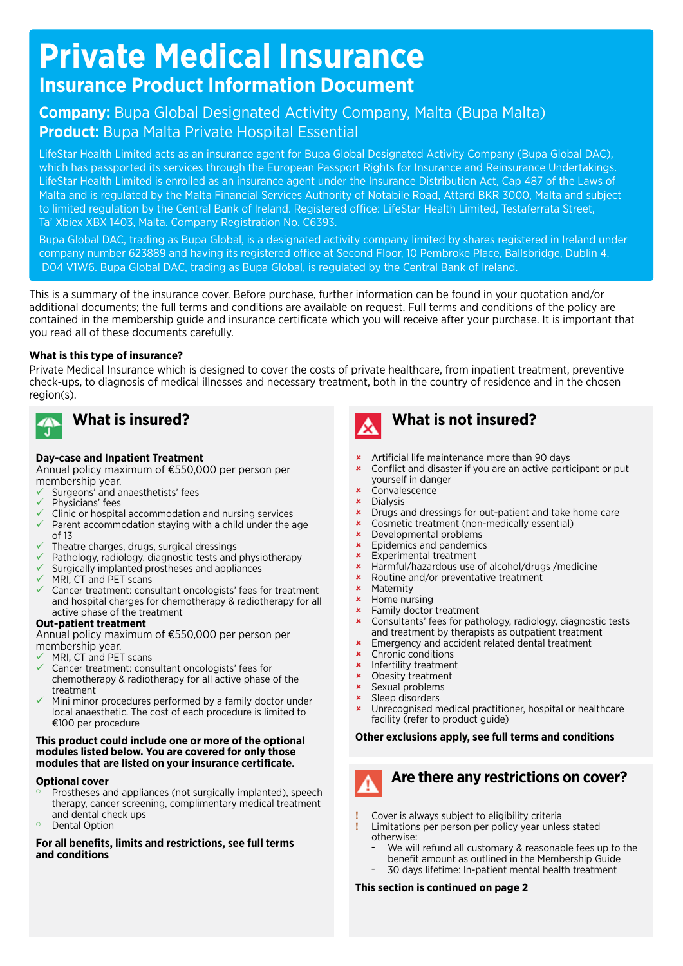# **Private Medical Insurance Insurance Product Information Document**

# **Company:** Bupa Global Designated Activity Company, Malta (Bupa Malta) **Product:** Bupa Malta Private Hospital Essential

LifeStar Health Limited acts as an insurance agent for Bupa Global Designated Activity Company (Bupa Global DAC), which has passported its services through the European Passport Rights for Insurance and Reinsurance Undertakings. LifeStar Health Limited is enrolled as an insurance agent under the Insurance Distribution Act, Cap 487 of the Laws of Malta and is regulated by the Malta Financial Services Authority of Notabile Road, Attard BKR 3000, Malta and subject to limited regulation by the Central Bank of Ireland. Registered office: LifeStar Health Limited, Testaferrata Street, Ta' Xbiex XBX 1403, Malta. Company Registration No. C6393.

Bupa Global DAC, trading as Bupa Global, is a designated activity company limited by shares registered in Ireland under company number 623889 and having its registered office at Second Floor, 10 Pembroke Place, Ballsbridge, Dublin 4, D04 V1W6. Bupa Global DAC, trading as Bupa Global, is regulated by the Central Bank of Ireland.

This is a summary of the insurance cover. Before purchase, further information can be found in your quotation and/or additional documents; the full terms and conditions are available on request. Full terms and conditions of the policy are contained in the membership guide and insurance certificate which you will receive after your purchase. It is important that you read all of these documents carefully.

### **What is this type of insurance?**

Private Medical Insurance which is designed to cover the costs of private healthcare, from inpatient treatment, preventive check-ups, to diagnosis of medical illnesses and necessary treatment, both in the country of residence and in the chosen region(s).



# **What is insured?**

### **Day-case and Inpatient Treatment**

Annual policy maximum of €550,000 per person per membership year.

- Surgeons' and anaesthetists' fees
- Physicians' fees
- Clinic or hospital accommodation and nursing services
- $\checkmark$  Parent accommodation staying with a child under the age of 13
- Theatre charges, drugs, surgical dressings
- Pathology, radiology, diagnostic tests and physiotherapy
- Surgically implanted prostheses and appliances
- MRI, CT and PET scans
- $\checkmark$  Cancer treatment: consultant oncologists' fees for treatment and hospital charges for chemotherapy & radiotherapy for all active phase of the treatment

#### **Out-patient treatment**

Annual policy maximum of €550,000 per person per membership year.

- MRI, CT and PET scans
- Cancer treatment: consultant oncologists' fees for chemotherapy & radiotherapy for all active phase of the treatment
- Mini minor procedures performed by a family doctor under local anaesthetic. The cost of each procedure is limited to €100 per procedure

#### **This product could include one or more of the optional modules listed below. You are covered for only those modules that are listed on your insurance certificate.**

#### **Optional cover**

- Prostheses and appliances (not surgically implanted), speech therapy, cancer screening, complimentary medical treatment and dental check ups
- <sup>o</sup> Dental Option

#### **For all benefits, limits and restrictions, see full terms and conditions**



# **What is not insured?**

- û Artificial life maintenance more than 90 days
- **\*** Conflict and disaster if you are an active participant or put yourself in danger
- **\*** Convalescence
- **\*** Dialysis
- **x** Drugs and dressings for out-patient and take home care
- û Cosmetic treatment (non-medically essential)
- **\*** Developmental problems
- **x** Epidemics and pandemics **x** Experimental treatment
- Experimental treatment
- **\*** Harmful/hazardous use of alcohol/drugs /medicine
- **\*** Routine and/or preventative treatment
- **x** Maternity<br>**x** Home nur
- Home nursing
- $\star$  Family doctor treatment
- Consultants' fees for pathology, radiology, diagnostic tests and treatment by therapists as outpatient treatment
- **\*** Emergency and accident related dental treatment
- $\star$  Chronic conditions
- **\*** Infertility treatment
- $\star$  Obesity treatment
- $x$  Sexual problems
- $x$  Sleep disorders<br> $x$  Unrecognised m
- Unrecognised medical practitioner, hospital or healthcare facility (refer to product guide)

### **Other exclusions apply, see full terms and conditions**

### **Are there any restrictions on cover?**

- **!** Cover is always subject to eligibility criteria
- **!** Limitations per person per policy year unless stated otherwise:
	- **–** We will refund all customary & reasonable fees up to the benefit amount as outlined in the Membership Guide
	- **–** 30 days lifetime: In-patient mental health treatment

### **This section is continued on page 2**